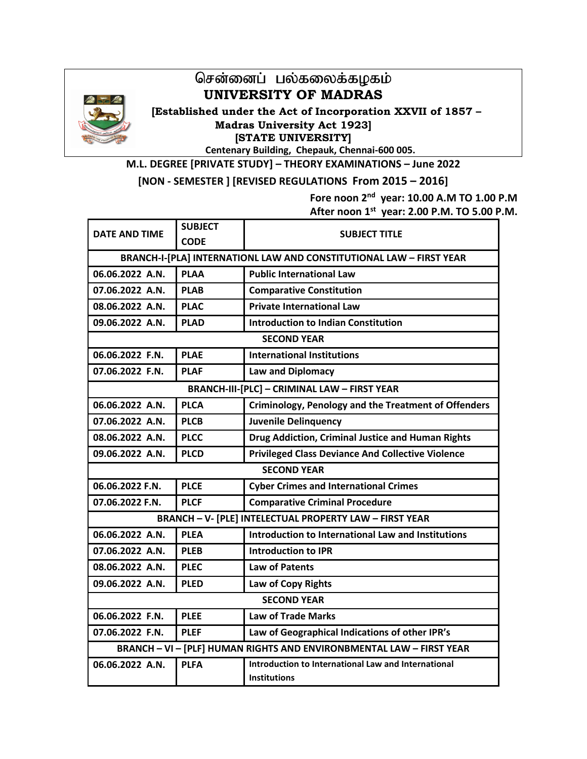

## சென்னைப் பல்கலைக்கழகம் **UNIVERSITY OF MADRAS**

**( [Established under the Act of Incorporation XXVII of 1857 – Madras University Act 1923] [STATE UNIVERSITY]** 

**Centenary Building, Chepauk, Chennai-600 005.**

**M.L. DEGREE [PRIVATE STUDY] – THEORY EXAMINATIONS – June 2022** 

**[NON - SEMESTER ] [REVISED REGULATIONS From 2015 – 2016]** 

**Fore noon 2nd year: 10.00 A.M TO 1.00 P.M** 

**After noon 1st year: 2.00 P.M. TO 5.00 P.M.** 

| <b>DATE AND TIME</b>                                                 | <b>SUBJECT</b>                                                      | <b>SUBJECT TITLE</b>                                        |  |  |  |
|----------------------------------------------------------------------|---------------------------------------------------------------------|-------------------------------------------------------------|--|--|--|
|                                                                      | <b>CODE</b>                                                         |                                                             |  |  |  |
|                                                                      | BRANCH-I-[PLA] INTERNATIONL LAW AND CONSTITUTIONAL LAW - FIRST YEAR |                                                             |  |  |  |
| 06.06.2022 A.N.                                                      | <b>PLAA</b>                                                         | <b>Public International Law</b>                             |  |  |  |
| 07.06.2022 A.N.                                                      | <b>PLAB</b>                                                         | <b>Comparative Constitution</b>                             |  |  |  |
| 08.06.2022 A.N.                                                      | <b>PLAC</b>                                                         | <b>Private International Law</b>                            |  |  |  |
| 09.06.2022 A.N.                                                      | <b>PLAD</b>                                                         | <b>Introduction to Indian Constitution</b>                  |  |  |  |
|                                                                      |                                                                     | <b>SECOND YEAR</b>                                          |  |  |  |
| 06.06.2022 F.N.                                                      | <b>PLAE</b>                                                         | <b>International Institutions</b>                           |  |  |  |
| 07.06.2022 F.N.                                                      | <b>PLAF</b>                                                         | <b>Law and Diplomacy</b>                                    |  |  |  |
| <b>BRANCH-III-[PLC] - CRIMINAL LAW - FIRST YEAR</b>                  |                                                                     |                                                             |  |  |  |
| 06.06.2022 A.N.                                                      | <b>PLCA</b>                                                         | <b>Criminology, Penology and the Treatment of Offenders</b> |  |  |  |
| 07.06.2022 A.N.                                                      | <b>PLCB</b>                                                         | <b>Juvenile Delinquency</b>                                 |  |  |  |
| 08.06.2022 A.N.                                                      | <b>PLCC</b>                                                         | Drug Addiction, Criminal Justice and Human Rights           |  |  |  |
| 09.06.2022 A.N.                                                      | <b>PLCD</b>                                                         | <b>Privileged Class Deviance And Collective Violence</b>    |  |  |  |
| <b>SECOND YEAR</b>                                                   |                                                                     |                                                             |  |  |  |
| 06.06.2022 F.N.                                                      | <b>PLCE</b>                                                         | <b>Cyber Crimes and International Crimes</b>                |  |  |  |
| 07.06.2022 F.N.                                                      | <b>PLCF</b>                                                         | <b>Comparative Criminal Procedure</b>                       |  |  |  |
| <b>BRANCH - V- [PLE] INTELECTUAL PROPERTY LAW - FIRST YEAR</b>       |                                                                     |                                                             |  |  |  |
| 06.06.2022 A.N.                                                      | <b>PLEA</b>                                                         | Introduction to International Law and Institutions          |  |  |  |
| 07.06.2022 A.N.                                                      | <b>PLEB</b>                                                         | <b>Introduction to IPR</b>                                  |  |  |  |
| 08.06.2022 A.N.                                                      | <b>PLEC</b>                                                         | <b>Law of Patents</b>                                       |  |  |  |
| 09.06.2022 A.N.                                                      | <b>PLED</b>                                                         | Law of Copy Rights                                          |  |  |  |
| <b>SECOND YEAR</b>                                                   |                                                                     |                                                             |  |  |  |
| 06.06.2022 F.N.                                                      | <b>PLEE</b>                                                         | <b>Law of Trade Marks</b>                                   |  |  |  |
| 07.06.2022 F.N.                                                      | <b>PLEF</b>                                                         | Law of Geographical Indications of other IPR's              |  |  |  |
| BRANCH - VI - [PLF] HUMAN RIGHTS AND ENVIRONBMENTAL LAW - FIRST YEAR |                                                                     |                                                             |  |  |  |
| 06.06.2022 A.N.                                                      | <b>PLFA</b>                                                         | Introduction to International Law and International         |  |  |  |
|                                                                      |                                                                     | <b>Institutions</b>                                         |  |  |  |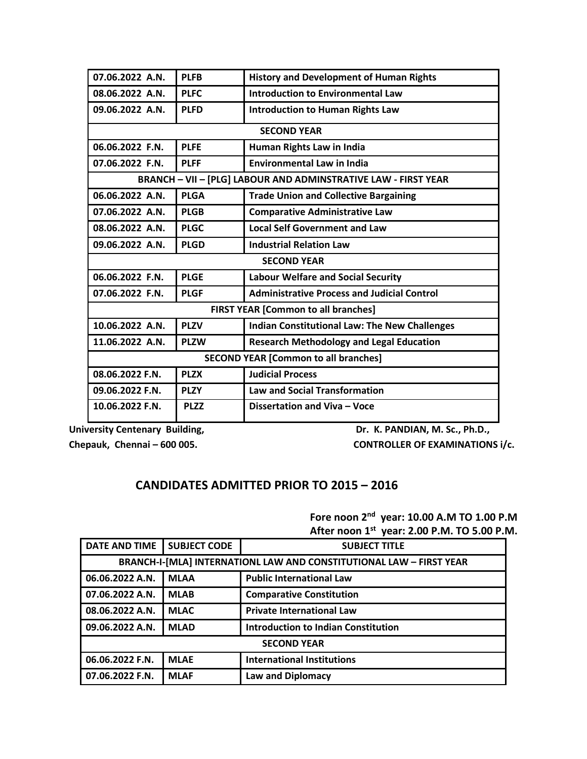| 07.06.2022 A.N.                                                | <b>PLFB</b> | <b>History and Development of Human Rights</b>       |  |  |
|----------------------------------------------------------------|-------------|------------------------------------------------------|--|--|
| 08.06.2022 A.N.                                                | <b>PLFC</b> | <b>Introduction to Environmental Law</b>             |  |  |
| 09.06.2022 A.N.                                                | <b>PLFD</b> | <b>Introduction to Human Rights Law</b>              |  |  |
|                                                                |             | <b>SECOND YEAR</b>                                   |  |  |
| 06.06.2022 F.N.                                                | <b>PLFE</b> | Human Rights Law in India                            |  |  |
| 07.06.2022 F.N.                                                | <b>PLFF</b> | <b>Environmental Law in India</b>                    |  |  |
| BRANCH - VII - [PLG] LABOUR AND ADMINSTRATIVE LAW - FIRST YEAR |             |                                                      |  |  |
| 06.06.2022 A.N.                                                | <b>PLGA</b> | <b>Trade Union and Collective Bargaining</b>         |  |  |
| 07.06.2022 A.N.                                                | <b>PLGB</b> | <b>Comparative Administrative Law</b>                |  |  |
| 08.06.2022 A.N.                                                | <b>PLGC</b> | <b>Local Self Government and Law</b>                 |  |  |
| 09.06.2022 A.N.                                                | <b>PLGD</b> | <b>Industrial Relation Law</b>                       |  |  |
| <b>SECOND YEAR</b>                                             |             |                                                      |  |  |
| 06.06.2022 F.N.                                                | <b>PLGE</b> | <b>Labour Welfare and Social Security</b>            |  |  |
| 07.06.2022 F.N.                                                | <b>PLGF</b> | <b>Administrative Process and Judicial Control</b>   |  |  |
| <b>FIRST YEAR [Common to all branches]</b>                     |             |                                                      |  |  |
| 10.06.2022 A.N.                                                | <b>PLZV</b> | <b>Indian Constitutional Law: The New Challenges</b> |  |  |
| 11.06.2022 A.N.                                                | <b>PLZW</b> | <b>Research Methodology and Legal Education</b>      |  |  |
| <b>SECOND YEAR [Common to all branches]</b>                    |             |                                                      |  |  |
| 08.06.2022 F.N.                                                | <b>PLZX</b> | <b>Judicial Process</b>                              |  |  |
| 09.06.2022 F.N.                                                | <b>PLZY</b> | <b>Law and Social Transformation</b>                 |  |  |
| 10.06.2022 F.N.                                                | <b>PLZZ</b> | Dissertation and Viva - Voce                         |  |  |

Chepauk, Chennai – 600 005. CONTROLLER OF EXAMINATIONS i/c.

University Centenary Building, **Dr. K. PANDIAN, M. Sc., Ph.D.,** 

## **CANDIDATES ADMITTED PRIOR TO 2015 – 2016**

**Fore noon 2nd year: 10.00 A.M TO 1.00 P.M After noon 1st year: 2.00 P.M. TO 5.00 P.M.** 

| DATE AND TIME                                                       | <b>SUBJECT CODE</b> | <b>SUBJECT TITLE</b>                       |  |  |
|---------------------------------------------------------------------|---------------------|--------------------------------------------|--|--|
| BRANCH-I-[MLA] INTERNATIONL LAW AND CONSTITUTIONAL LAW - FIRST YEAR |                     |                                            |  |  |
| 06.06.2022 A.N.                                                     | <b>MLAA</b>         | <b>Public International Law</b>            |  |  |
| 07.06.2022 A.N.                                                     | <b>MLAB</b>         | <b>Comparative Constitution</b>            |  |  |
| 08.06.2022 A.N.                                                     | <b>MLAC</b>         | <b>Private International Law</b>           |  |  |
| 09.06.2022 A.N.                                                     | <b>MLAD</b>         | <b>Introduction to Indian Constitution</b> |  |  |
| <b>SECOND YEAR</b>                                                  |                     |                                            |  |  |
| 06.06.2022 F.N.                                                     | <b>MLAE</b>         | <b>International Institutions</b>          |  |  |
| 07.06.2022 F.N.                                                     | <b>MLAF</b>         | <b>Law and Diplomacy</b>                   |  |  |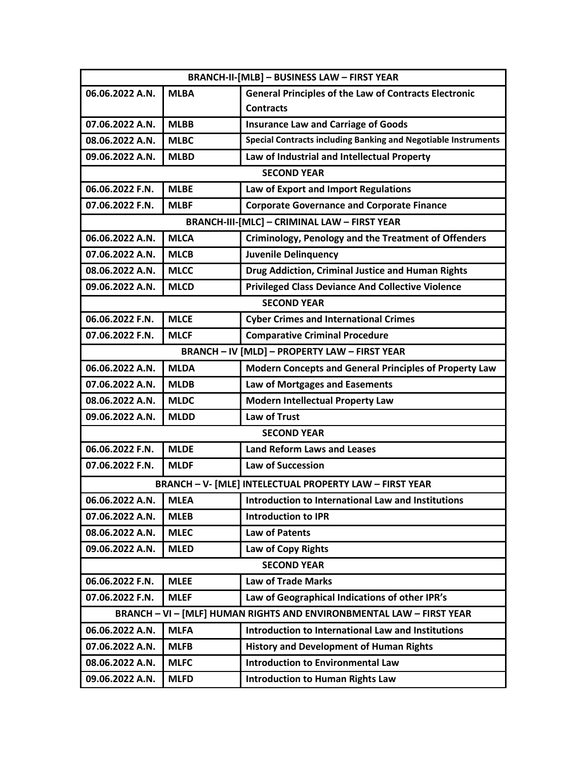| <b>BRANCH-II-[MLB] - BUSINESS LAW - FIRST YEAR</b>                   |             |                                                                |  |  |
|----------------------------------------------------------------------|-------------|----------------------------------------------------------------|--|--|
| 06.06.2022 A.N.                                                      | <b>MLBA</b> | <b>General Principles of the Law of Contracts Electronic</b>   |  |  |
|                                                                      |             | <b>Contracts</b>                                               |  |  |
| 07.06.2022 A.N.                                                      | <b>MLBB</b> | <b>Insurance Law and Carriage of Goods</b>                     |  |  |
| 08.06.2022 A.N.                                                      | <b>MLBC</b> | Special Contracts including Banking and Negotiable Instruments |  |  |
| 09.06.2022 A.N.                                                      | <b>MLBD</b> | Law of Industrial and Intellectual Property                    |  |  |
|                                                                      |             | <b>SECOND YEAR</b>                                             |  |  |
| 06.06.2022 F.N.                                                      | <b>MLBE</b> | Law of Export and Import Regulations                           |  |  |
| 07.06.2022 F.N.                                                      | <b>MLBF</b> | <b>Corporate Governance and Corporate Finance</b>              |  |  |
|                                                                      |             | <b>BRANCH-III-[MLC] - CRIMINAL LAW - FIRST YEAR</b>            |  |  |
| 06.06.2022 A.N.                                                      | <b>MLCA</b> | <b>Criminology, Penology and the Treatment of Offenders</b>    |  |  |
| 07.06.2022 A.N.                                                      | <b>MLCB</b> | <b>Juvenile Delinquency</b>                                    |  |  |
| 08.06.2022 A.N.                                                      | <b>MLCC</b> | Drug Addiction, Criminal Justice and Human Rights              |  |  |
| 09.06.2022 A.N.                                                      | <b>MLCD</b> | <b>Privileged Class Deviance And Collective Violence</b>       |  |  |
|                                                                      |             | <b>SECOND YEAR</b>                                             |  |  |
| 06.06.2022 F.N.                                                      | <b>MLCE</b> | <b>Cyber Crimes and International Crimes</b>                   |  |  |
| 07.06.2022 F.N.                                                      | <b>MLCF</b> | <b>Comparative Criminal Procedure</b>                          |  |  |
|                                                                      |             | <b>BRANCH - IV [MLD] - PROPERTY LAW - FIRST YEAR</b>           |  |  |
| 06.06.2022 A.N.                                                      | <b>MLDA</b> | <b>Modern Concepts and General Principles of Property Law</b>  |  |  |
| 07.06.2022 A.N.                                                      | <b>MLDB</b> | Law of Mortgages and Easements                                 |  |  |
| 08.06.2022 A.N.                                                      | <b>MLDC</b> | <b>Modern Intellectual Property Law</b>                        |  |  |
| 09.06.2022 A.N.                                                      | <b>MLDD</b> | Law of Trust                                                   |  |  |
|                                                                      |             | <b>SECOND YEAR</b>                                             |  |  |
| 06.06.2022 F.N.                                                      | <b>MLDE</b> | <b>Land Reform Laws and Leases</b>                             |  |  |
| 07.06.2022 F.N.                                                      | <b>MLDF</b> | <b>Law of Succession</b>                                       |  |  |
| <b>BRANCH - V- [MLE] INTELECTUAL PROPERTY LAW - FIRST YEAR</b>       |             |                                                                |  |  |
| 06.06.2022 A.N.                                                      | MLEA        | Introduction to International Law and Institutions             |  |  |
| 07.06.2022 A.N.                                                      | <b>MLEB</b> | <b>Introduction to IPR</b>                                     |  |  |
| 08.06.2022 A.N.                                                      | <b>MLEC</b> | Law of Patents                                                 |  |  |
| 09.06.2022 A.N.                                                      | <b>MLED</b> | Law of Copy Rights                                             |  |  |
| <b>SECOND YEAR</b>                                                   |             |                                                                |  |  |
| 06.06.2022 F.N.                                                      | <b>MLEE</b> | <b>Law of Trade Marks</b>                                      |  |  |
| 07.06.2022 F.N.                                                      | <b>MLEF</b> | Law of Geographical Indications of other IPR's                 |  |  |
| BRANCH - VI - [MLF] HUMAN RIGHTS AND ENVIRONBMENTAL LAW - FIRST YEAR |             |                                                                |  |  |
| 06.06.2022 A.N.                                                      | <b>MLFA</b> | Introduction to International Law and Institutions             |  |  |
| 07.06.2022 A.N.                                                      | <b>MLFB</b> | <b>History and Development of Human Rights</b>                 |  |  |
| 08.06.2022 A.N.                                                      | <b>MLFC</b> | <b>Introduction to Environmental Law</b>                       |  |  |
| 09.06.2022 A.N.                                                      | <b>MLFD</b> | <b>Introduction to Human Rights Law</b>                        |  |  |